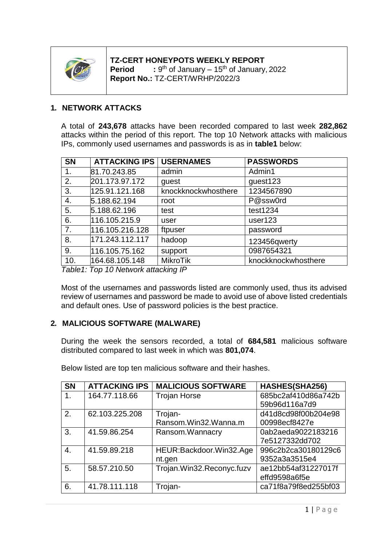

#### **TZ-CERT HONEYPOTS WEEKLY REPORT Period** :  $9<sup>th</sup>$  of January – 15<sup>th</sup> of January, 2022 **Report No.:** TZ-CERT/WRHP/2022/3

## **1. NETWORK ATTACKS**

A total of **243,678** attacks have been recorded compared to last week **282,862** attacks within the period of this report. The top 10 Network attacks with malicious IPs, commonly used usernames and passwords is as in **table1** below:

| <b>SN</b> | <b>ATTACKING IPS</b> | <b>USERNAMES</b>    | <b>PASSWORDS</b>    |
|-----------|----------------------|---------------------|---------------------|
| 1.        | 81.70.243.85         | admin               | Admin1              |
| 2.        | 201.173.97.172       | guest               | guest123            |
| 3.        | 125.91.121.168       | knockknockwhosthere | 1234567890          |
| 4.        | 5.188.62.194         | root                | P@ssw0rd            |
| 5.        | 5.188.62.196         | test                | test1234            |
| 6.        | 116.105.215.9        | user                | user <sub>123</sub> |
| 7.        | 116.105.216.128      | ftpuser             | password            |
| 8.        | 171.243.112.117      | hadoop              | 123456qwerty        |
| 9.        | 116.105.75.162       | support             | 0987654321          |
| 10.       | 164.68.105.148       | <b>MikroTik</b>     | knockknockwhosthere |

*Table1: Top 10 Network attacking IP*

Most of the usernames and passwords listed are commonly used, thus its advised review of usernames and password be made to avoid use of above listed credentials and default ones. Use of password policies is the best practice.

### **2. MALICIOUS SOFTWARE (MALWARE)**

During the week the sensors recorded, a total of **684,581** malicious software distributed compared to last week in which was **801,074**.

| <b>SN</b> | <b>ATTACKING IPS</b> | <b>MALICIOUS SOFTWARE</b> | <b>HASHES(SHA256)</b> |
|-----------|----------------------|---------------------------|-----------------------|
| 1.        | 164.77.118.66        | <b>Trojan Horse</b>       | 685bc2af410d86a742b   |
|           |                      |                           | 59b96d116a7d9         |
| 2.        | 62.103.225.208       | Trojan-                   | d41d8cd98f00b204e98   |
|           |                      | Ransom.Win32.Wanna.m      | 00998ecf8427e         |
| 3.        | 41.59.86.254         | Ransom.Wannacry           | 0ab2aeda9022183216    |
|           |                      |                           | 7e5127332dd702        |
| 4.        | 41.59.89.218         | HEUR:Backdoor.Win32.Age   | 996c2b2ca30180129c6   |
|           |                      | nt.gen                    | 9352a3a3515e4         |
| 5.        | 58.57.210.50         | Trojan.Win32.Reconyc.fuzv | ae12bb54af31227017f   |
|           |                      |                           | effd9598a6f5e         |
| 6.        | 41.78.111.118        | Trojan-                   | ca71f8a79f8ed255bf03  |

Below listed are top ten malicious software and their hashes.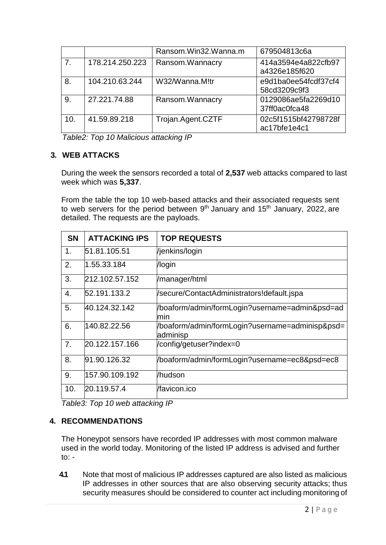|                |                 | Ransom.Win32.Wanna.m | 679504813c6a                         |
|----------------|-----------------|----------------------|--------------------------------------|
| 7 <sub>1</sub> | 178.214.250.223 | Ransom. Wannacry     | 414a3594e4a822cfb97<br>a4326e185f620 |
| 8.             | 104.210.63.244  | W32/Wanna.M!tr       | e9d1ba0ee54fcdf37cf4<br>58cd3209c9f3 |
| 9.             | 27.221.74.88    | Ransom.Wannacry      | 0129086ae5fa2269d10<br>37ff0ac0fca48 |
| 10.            | 41.59.89.218    | Trojan.Agent.CZTF    | 02c5f1515bf42798728f<br>ac17bfe1e4c1 |

*Table2: Top 10 Malicious attacking IP*

## **3. WEB ATTACKS**

During the week the sensors recorded a total of **2,537** web attacks compared to last week which was **5,337**.

From the table the top 10 web-based attacks and their associated requests sent to web servers for the period between  $9<sup>th</sup>$  January and 15<sup>th</sup> January, 2022, are detailed. The requests are the payloads.

| <b>SN</b> | <b>ATTACKING IPS</b> | <b>TOP REQUESTS</b>                                         |
|-----------|----------------------|-------------------------------------------------------------|
| 1.        | 51.81.105.51         | /jenkins/login                                              |
| 2.        | 1.55.33.184          | /login                                                      |
| 3.        | 212.102.57.152       | /manager/html                                               |
| 4.        | 52.191.133.2         | /secure/ContactAdministrators!default.jspa                  |
| 5.        | 40.124.32.142        | /boaform/admin/formLogin?username=admin&psd=ad<br>min       |
| 6.        | 140.82.22.56         | /boaform/admin/formLogin?username=adminisp&psd=<br>adminisp |
| 7.        | 20.122.157.166       | /config/getuser?index=0                                     |
| 8.        | 91.90.126.32         | /boaform/admin/formLogin?username=ec8&psd=ec8               |
| 9.        | 157.90.109.192       | /hudson                                                     |
| 10.       | 20.119.57.4          | /favicon.ico                                                |

*Table3: Top 10 web attacking IP*

# **4. RECOMMENDATIONS**

The Honeypot sensors have recorded IP addresses with most common malware used in the world today. Monitoring of the listed IP address is advised and further to: -

**4.1** Note that most of malicious IP addresses captured are also listed as malicious IP addresses in other sources that are also observing security attacks; thus security measures should be considered to counter act including monitoring of